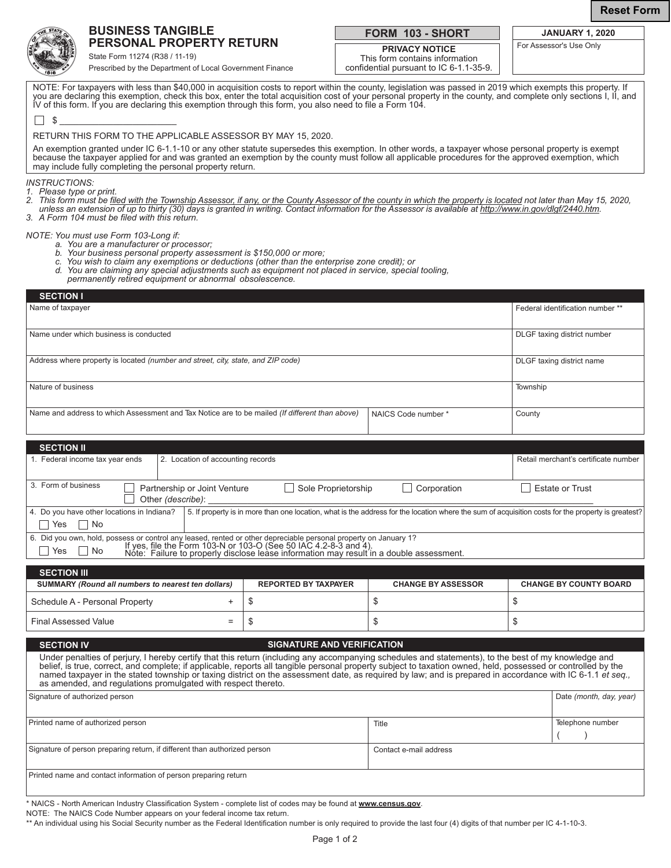**Reset Form**



## **BUSINESS TANGIBLE PERSONAL PROPERTY RETURN**

State Form 11274 (R38 / 11-19)

Prescribed by the Department of Local Government Finance

# **FORM 103 - SHORT**

**PRIVACY NOTICE** This form contains information confidential pursuant to IC 6-1.1-35-9.

**JANUARY 1, 2020** For Assessor's Use Only

| NOTE: For taxpayers with less than \$40,000 in acquisition costs to report within the county, legislation was passed in 2019 which exempts this property. If<br>you are declaring this exemption, check this box, enter the total acquisition cost of your personal property in the county, and complete only sections I, II, and<br>IV of this form. If you are declaring this exemption through this form, you also need to file a Form 104. |                             |                                    |                                                                                                                                                    |  |  |  |
|------------------------------------------------------------------------------------------------------------------------------------------------------------------------------------------------------------------------------------------------------------------------------------------------------------------------------------------------------------------------------------------------------------------------------------------------|-----------------------------|------------------------------------|----------------------------------------------------------------------------------------------------------------------------------------------------|--|--|--|
| \$                                                                                                                                                                                                                                                                                                                                                                                                                                             |                             |                                    |                                                                                                                                                    |  |  |  |
| RETURN THIS FORM TO THE APPLICABLE ASSESSOR BY MAY 15, 2020.                                                                                                                                                                                                                                                                                                                                                                                   |                             |                                    |                                                                                                                                                    |  |  |  |
| An exemption granted under IC 6-1.1-10 or any other statute supersedes this exemption. In other words, a taxpayer whose personal property is exempt<br>because the taxpayer applied for and was granted an exemption by the county must follow all applicable procedures for the approved exemption, which<br>may include fully completing the personal property return.                                                                       |                             |                                    |                                                                                                                                                    |  |  |  |
| <b>INSTRUCTIONS:</b><br>1. Please type or print.<br>2. This form must be filed with the Township Assessor, if any, or the County Assessor of the county in which the property is located not later than May 15, 2020,<br>unless an extension of up to thirty (30) days is granted in writing. Contact information for the Assessor is available at http://www.in.gov/dlgf/2440.htm.<br>3. A Form 104 must be filed with this return.           |                             |                                    |                                                                                                                                                    |  |  |  |
| NOTE: You must use Form 103-Long if:<br>a. You are a manufacturer or processor:<br>b. Your business personal property assessment is \$150,000 or more;<br>c. You wish to claim any exemptions or deductions (other than the enterprise zone credit); or<br>d. You are claiming any special adjustments such as equipment not placed in service, special tooling,<br>permanently retired equipment or abnormal obsolescence.                    |                             |                                    |                                                                                                                                                    |  |  |  |
| <b>SECTION I</b>                                                                                                                                                                                                                                                                                                                                                                                                                               |                             |                                    |                                                                                                                                                    |  |  |  |
| Name of taxpayer                                                                                                                                                                                                                                                                                                                                                                                                                               |                             |                                    | Federal identification number **                                                                                                                   |  |  |  |
| Name under which business is conducted                                                                                                                                                                                                                                                                                                                                                                                                         |                             |                                    | DLGF taxing district number                                                                                                                        |  |  |  |
| Address where property is located <i>(number and street, city, state, and ZIP code)</i>                                                                                                                                                                                                                                                                                                                                                        | DLGF taxing district name   |                                    |                                                                                                                                                    |  |  |  |
| Nature of business                                                                                                                                                                                                                                                                                                                                                                                                                             | Township                    |                                    |                                                                                                                                                    |  |  |  |
| Name and address to which Assessment and Tax Notice are to be mailed (If different than above)                                                                                                                                                                                                                                                                                                                                                 |                             | NAICS Code number *                | County                                                                                                                                             |  |  |  |
| <b>SECTION II</b>                                                                                                                                                                                                                                                                                                                                                                                                                              |                             |                                    |                                                                                                                                                    |  |  |  |
| 1. Federal income tax year ends<br>2. Location of accounting records                                                                                                                                                                                                                                                                                                                                                                           |                             |                                    | Retail merchant's certificate number                                                                                                               |  |  |  |
| 3. Form of business<br>Partnership or Joint Venture<br>Other (describe):                                                                                                                                                                                                                                                                                                                                                                       |                             | Sole Proprietorship<br>Corporation | <b>Estate or Trust</b>                                                                                                                             |  |  |  |
| 4. Do you have other locations in Indiana?<br>l Yes<br>∣No                                                                                                                                                                                                                                                                                                                                                                                     |                             |                                    | 5. If property is in more than one location, what is the address for the location where the sum of acquisition costs for the property is greatest? |  |  |  |
| 6. Did you own, hold, possess or control any leased, rented or other depreciable personal property on January 1?<br>$\square$ Yos $\square$ No $\blacksquare$ Yes, file the Form 103-N or 103-O (See 50 IAC 4.2-8-3 and 4).<br>No<br>$\blacksquare$<br>Yes<br>Note: Failure to properly disclose lease information may result in a double assessment.                                                                                          |                             |                                    |                                                                                                                                                    |  |  |  |
| <b>SECTION III</b>                                                                                                                                                                                                                                                                                                                                                                                                                             |                             |                                    |                                                                                                                                                    |  |  |  |
| SUMMARY (Round all numbers to nearest ten dollars)                                                                                                                                                                                                                                                                                                                                                                                             | <b>REPORTED BY TAXPAYER</b> | <b>CHANGE BY ASSESSOR</b>          | <b>CHANGE BY COUNTY BOARD</b>                                                                                                                      |  |  |  |
| Schedule A - Personal Property                                                                                                                                                                                                                                                                                                                                                                                                                 | \$<br>$\ddot{}$             | \$                                 | \$                                                                                                                                                 |  |  |  |
| <b>Final Assessed Value</b>                                                                                                                                                                                                                                                                                                                                                                                                                    | \$<br>$\qquad \qquad =$     | \$                                 | \$                                                                                                                                                 |  |  |  |

| <b>SIGNATURE AND VERIFICATION</b><br><b>SECTION IV</b>                                                                                                                                                                                                                                                                                                                                                                                                                                                                                              |                        |                         |  |  |  |
|-----------------------------------------------------------------------------------------------------------------------------------------------------------------------------------------------------------------------------------------------------------------------------------------------------------------------------------------------------------------------------------------------------------------------------------------------------------------------------------------------------------------------------------------------------|------------------------|-------------------------|--|--|--|
| Under penalties of perjury, I hereby certify that this return (including any accompanying schedules and statements), to the best of my knowledge and<br>belief, is true, correct, and complete; if applicable, reports all tangible personal property subject to taxation owned, held, possessed or controlled by the<br>named taxpayer in the stated township or taxing district on the assessment date, as required by law; and is prepared in accordance with IC 6-1.1 et seq.,<br>as amended, and regulations promulgated with respect thereto. |                        |                         |  |  |  |
| Signature of authorized person                                                                                                                                                                                                                                                                                                                                                                                                                                                                                                                      |                        | Date (month, day, year) |  |  |  |
|                                                                                                                                                                                                                                                                                                                                                                                                                                                                                                                                                     |                        |                         |  |  |  |
| Printed name of authorized person                                                                                                                                                                                                                                                                                                                                                                                                                                                                                                                   | Title                  | Telephone number        |  |  |  |
|                                                                                                                                                                                                                                                                                                                                                                                                                                                                                                                                                     |                        |                         |  |  |  |
| Signature of person preparing return, if different than authorized person                                                                                                                                                                                                                                                                                                                                                                                                                                                                           | Contact e-mail address |                         |  |  |  |
| Printed name and contact information of person preparing return                                                                                                                                                                                                                                                                                                                                                                                                                                                                                     |                        |                         |  |  |  |

\* NAICS - North American Industry Classification System - complete list of codes may be found at **www.census.gov**.

NOTE: The NAICS Code Number appears on your federal income tax return.

\*\* An individual using his Social Security number as the Federal Identification number is only required to provide the last four (4) digits of that number per IC 4-1-10-3.